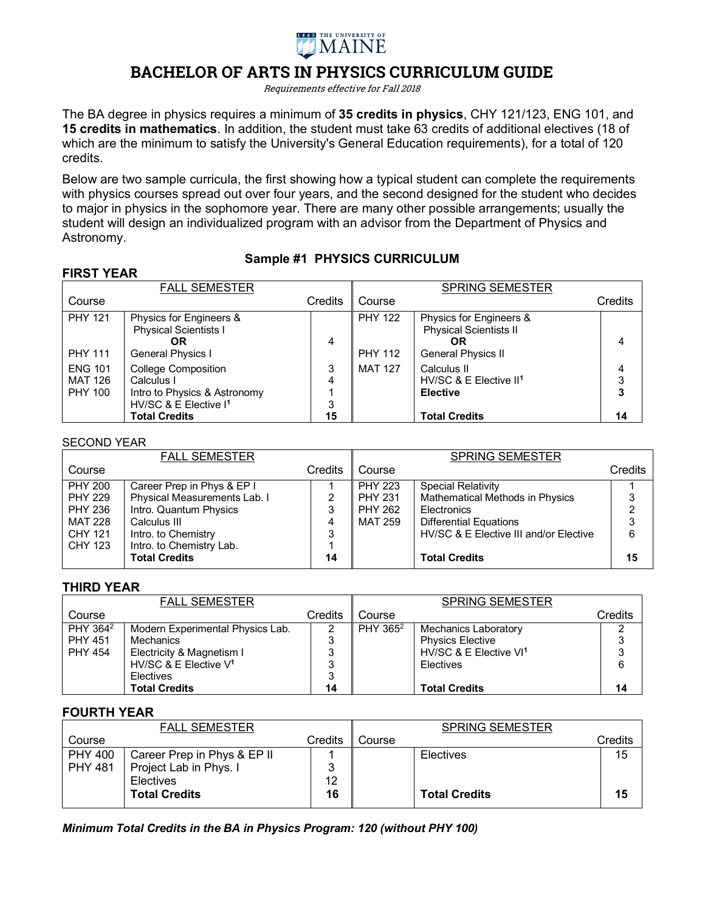

# **BACHELOR OF ARTS IN PHYSICS CURRICULUM GUIDE**

Requirements effective for Fall 2018

The BA degree in physics requires a minimum of **35 credits in physics**, CHY 121/123, ENG 101, and **15 credits in mathematics**. In addition, the student must take 63 credits of additional electives (18 of which are the minimum to satisfy the University's General Education requirements), for a total of 120 credits.

Below are two sample curricula, the first showing how a typical student can complete the requirements with physics courses spread out over four years, and the second designed for the student who decides to major in physics in the sophomore year. There are many other possible arrangements; usually the student will design an individualized program with an advisor from the Department of Physics and Astronomy.

## **Sample #1 PHYSICS CURRICULUM**

| <b>FIRST YEAR</b>                                  |                                                                                               |             |                                  |                                                                                             |             |
|----------------------------------------------------|-----------------------------------------------------------------------------------------------|-------------|----------------------------------|---------------------------------------------------------------------------------------------|-------------|
|                                                    | <b>FALL SEMESTER</b>                                                                          |             |                                  | <b>SPRING SEMESTER</b>                                                                      |             |
| Course                                             |                                                                                               | Credits     | Course                           |                                                                                             | Credits     |
| <b>PHY 121</b><br><b>PHY 111</b>                   | Physics for Engineers &<br><b>Physical Scientists I</b><br>OR<br>General Physics I            | 4           | <b>PHY 122</b><br><b>PHY 112</b> | Physics for Engineers &<br><b>Physical Scientists II</b><br>OR<br><b>General Physics II</b> | 4           |
| <b>ENG 101</b><br><b>MAT 126</b><br><b>PHY 100</b> | College Composition<br>Calculus I<br>Intro to Physics & Astronomy<br>HV/SC & E Elective $I^1$ | 3<br>4<br>3 | <b>MAT 127</b>                   | Calculus II<br>HV/SC & E Elective II <sup>1</sup><br><b>Elective</b>                        | 4<br>3<br>3 |
|                                                    | <b>Total Credits</b>                                                                          | 15          |                                  | <b>Total Credits</b>                                                                        | 14          |

#### SECOND YEAR

|                                          | <b>FALL SEMESTER</b>         |                |                | <b>SPRING SEMESTER</b>                 |         |
|------------------------------------------|------------------------------|----------------|----------------|----------------------------------------|---------|
| Course                                   |                              | <b>Credits</b> | Course         |                                        | Credits |
| <b>PHY 200</b>                           | Career Prep in Phys & EP I   |                | <b>PHY 223</b> | <b>Special Relativity</b>              |         |
| <b>PHY 229</b>                           | Physical Measurements Lab. I | 2              | <b>PHY 231</b> | <b>Mathematical Methods in Physics</b> | 3       |
| <b>PHY 236</b><br>Intro. Quantum Physics |                              | 3              | <b>PHY 262</b> | Electronics                            | っ       |
| <b>MAT 228</b><br>Calculus III           |                              | 4              | <b>MAT 259</b> | <b>Differential Equations</b>          | 3       |
| CHY 121<br>Intro. to Chemistry           |                              | 3              |                | HV/SC & E Elective III and/or Elective | 6       |
| Intro. to Chemistry Lab.<br>CHY 123      |                              |                |                |                                        |         |
| <b>Total Credits</b>                     |                              | 14             |                | <b>Total Credits</b>                   | 15      |

#### **THIRD YEAR**

|                      | <b>FALL SEMESTER</b>             |         |                      | <b>SPRING SEMESTER</b>             |         |
|----------------------|----------------------------------|---------|----------------------|------------------------------------|---------|
| Course               |                                  | Credits | Course               |                                    | Credits |
| PHY 364 <sup>2</sup> | Modern Experimental Physics Lab. |         | PHY 365 <sup>2</sup> | <b>Mechanics Laboratory</b>        |         |
| <b>PHY 451</b>       | Mechanics                        | 3       |                      | <b>Physics Elective</b>            | 3       |
| <b>PHY 454</b>       | Electricity & Magnetism I        | 3       |                      | HV/SC & E Elective VI <sup>1</sup> | 3       |
|                      | HV/SC & E Elective $V^1$         | 3       |                      | Electives                          | 6       |
|                      | <b>Electives</b>                 | 3       |                      |                                    |         |
|                      | <b>Total Credits</b>             | 14      |                      | <b>Total Credits</b>               | 14      |

#### **FOURTH YEAR**

|                | <b>FALL SEMESTER</b>        |         |        | <b>SPRING SEMESTER</b> |         |
|----------------|-----------------------------|---------|--------|------------------------|---------|
| Course         |                             | Credits | Course |                        | Credits |
| <b>PHY 400</b> | Career Prep in Phys & EP II |         |        | Electives              | 15      |
| <b>PHY 481</b> | Project Lab in Phys. I      |         |        |                        |         |
|                | <b>Electives</b>            | 12      |        |                        |         |
|                | <b>Total Credits</b>        | 16      |        | <b>Total Credits</b>   | 15      |
|                |                             |         |        |                        |         |

*Minimum Total Credits in the BA in Physics Program: 120 (without PHY 100)*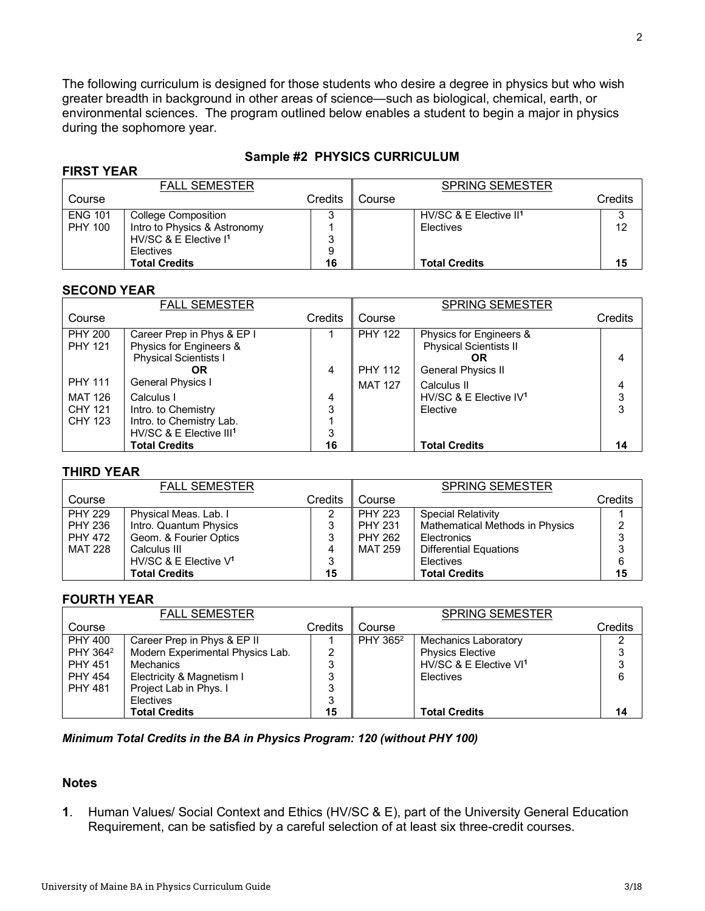The following curriculum is designed for those students who desire a degree in physics but who wish greater breadth in background in other areas of science—such as biological, chemical, earth, or environmental sciences. The program outlined below enables a student to begin a major in physics during the sophomore year.

### **Sample #2 PHYSICS CURRICULUM**

| IINJI ILAN     |                                   |         |        |                                    |         |
|----------------|-----------------------------------|---------|--------|------------------------------------|---------|
|                | <b>FALL SEMESTER</b>              |         |        | <b>SPRING SEMESTER</b>             |         |
| Course         |                                   | Credits | Course |                                    | Credits |
| <b>ENG 101</b> | College Composition               | 3       |        | HV/SC & E Elective II <sup>1</sup> |         |
| <b>PHY 100</b> | Intro to Physics & Astronomy      |         |        | Electives                          | 12      |
|                | HV/SC & E Elective I <sup>1</sup> | 3       |        |                                    |         |
|                | Electives                         | 9       |        |                                    |         |
|                | <b>Total Credits</b>              | 16      |        | <b>Total Credits</b>               | 15      |

#### **SECOND YEAR**

**FIRST YEAR**

|                                  | <b>FALL SEMESTER</b>                                                                                 |             |                                  | <b>SPRING SEMESTER</b>                                         |         |
|----------------------------------|------------------------------------------------------------------------------------------------------|-------------|----------------------------------|----------------------------------------------------------------|---------|
| Course                           |                                                                                                      | Credits     | Course                           |                                                                | Credits |
| <b>PHY 200</b><br><b>PHY 121</b> | Career Prep in Phys & EP I<br>Physics for Engineers &<br><b>Physical Scientists I</b>                |             | <b>PHY 122</b>                   | Physics for Engineers &<br><b>Physical Scientists II</b><br>OR | 4       |
| <b>PHY 111</b>                   | OR<br>General Physics I                                                                              | 4           | <b>PHY 112</b><br><b>MAT 127</b> | General Physics II<br>Calculus II                              | 4       |
| MAT 126<br>CHY 121<br>CHY 123    | Calculus I<br>Intro. to Chemistry<br>Intro. to Chemistry Lab.<br>HV/SC & E Elective III <sup>1</sup> | 4<br>3<br>3 |                                  | HV/SC & E Elective $IV1$<br>Elective                           | 3<br>3  |
|                                  | <b>Total Credits</b>                                                                                 | 16          |                                  | <b>Total Credits</b>                                           | 14      |

#### **THIRD YEAR**

|                | <b>FALL SEMESTER</b>     |         |                | <b>SPRING SEMESTER</b>          |         |
|----------------|--------------------------|---------|----------------|---------------------------------|---------|
| Course         |                          | Credits | Course         |                                 | Credits |
| <b>PHY 229</b> | Physical Meas. Lab. I    |         | <b>PHY 223</b> | <b>Special Relativity</b>       |         |
| <b>PHY 236</b> | Intro. Quantum Physics   | 3       | <b>PHY 231</b> | Mathematical Methods in Physics | ົ       |
| <b>PHY 472</b> | Geom. & Fourier Optics   | 3       | <b>PHY 262</b> | Electronics                     | 3       |
| <b>MAT 228</b> | Calculus III             | 4       | <b>MAT 259</b> | <b>Differential Equations</b>   |         |
|                | HV/SC & E Elective $V^1$ | 3       |                | <b>Electives</b>                | 6       |
|                | <b>Total Credits</b>     | 15      |                | <b>Total Credits</b>            | 15      |

#### **FOURTH YEAR**

|                      | <b>FALL SEMESTER</b>             |                |                      | <b>SPRING SEMESTER</b>             |         |
|----------------------|----------------------------------|----------------|----------------------|------------------------------------|---------|
| Course               |                                  | <b>Credits</b> | Course               |                                    | Credits |
| <b>PHY 400</b>       | Career Prep in Phys & EP II      |                | PHY 365 <sup>2</sup> | <b>Mechanics Laboratory</b>        |         |
| PHY 364 <sup>2</sup> | Modern Experimental Physics Lab. |                |                      | <b>Physics Elective</b>            |         |
| <b>PHY 451</b>       | Mechanics                        |                |                      | HV/SC & E Elective VI <sup>1</sup> | ົ       |
| <b>PHY 454</b>       | Electricity & Magnetism I        |                |                      | Electives                          | 6       |
| <b>PHY 481</b>       | Project Lab in Phys. I           |                |                      |                                    |         |
|                      | Electives                        |                |                      |                                    |         |
|                      | <b>Total Credits</b>             | 15             |                      | <b>Total Credits</b>               | 14      |

#### *Minimum Total Credits in the BA in Physics Program: 120 (without PHY 100)*

### **Notes**

**1**. Human Values/ Social Context and Ethics (HV/SC & E), part of the University General Education Requirement, can be satisfied by a careful selection of at least six three-credit courses.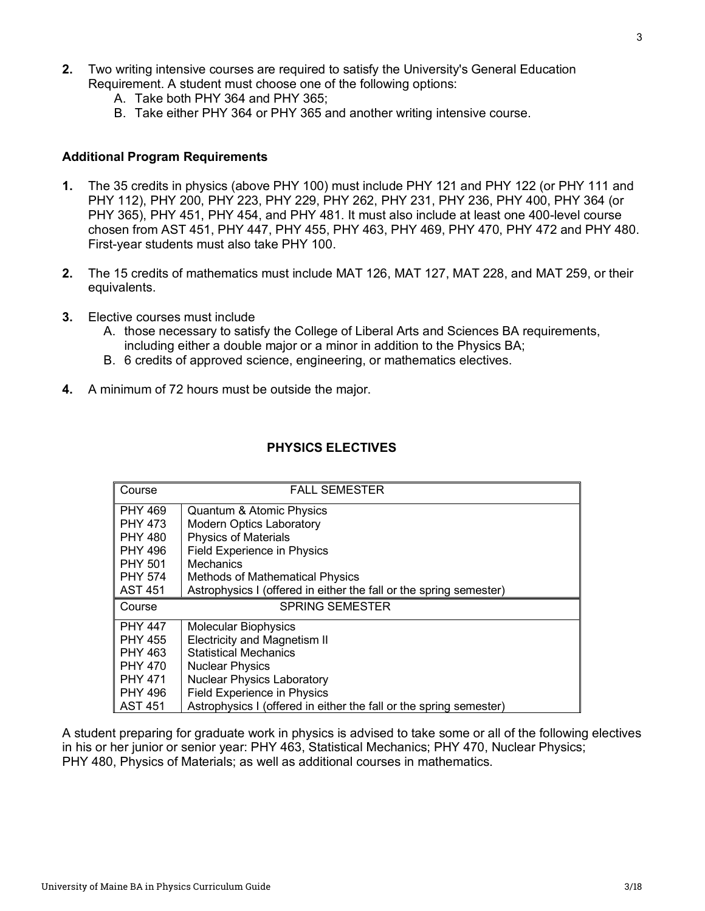- A. Take both PHY 364 and PHY 365;
- B. Take either PHY 364 or PHY 365 and another writing intensive course.

#### **Additional Program Requirements**

- **1.** The 35 credits in physics (above PHY 100) must include PHY 121 and PHY 122 (or PHY 111 and PHY 112), PHY 200, PHY 223, PHY 229, PHY 262, PHY 231, PHY 236, PHY 400, PHY 364 (or PHY 365), PHY 451, PHY 454, and PHY 481. It must also include at least one 400-level course chosen from AST 451, PHY 447, PHY 455, PHY 463, PHY 469, PHY 470, PHY 472 and PHY 480. First-year students must also take PHY 100.
- **2.** The 15 credits of mathematics must include MAT 126, MAT 127, MAT 228, and MAT 259, or their equivalents.
- **3.** Elective courses must include
	- A. those necessary to satisfy the College of Liberal Arts and Sciences BA requirements, including either a double major or a minor in addition to the Physics BA;
	- B. 6 credits of approved science, engineering, or mathematics electives.
- **4.** A minimum of 72 hours must be outside the major.

| Course    | <b>FALL SEMESTER</b>                                               |
|-----------|--------------------------------------------------------------------|
| PHY 469   | Quantum & Atomic Physics                                           |
| l PHY 473 | <b>Modern Optics Laboratory</b>                                    |
| ∥ PHY 480 | <b>Physics of Materials</b>                                        |
| I PHY 496 | <b>Field Experience in Physics</b>                                 |
| ∥ PHY 501 | <b>Mechanics</b>                                                   |
| PHY 574   | <b>Methods of Mathematical Physics</b>                             |
| ∥ AST 451 | Astrophysics I (offered in either the fall or the spring semester) |
|           |                                                                    |
| Course    | <b>SPRING SEMESTER</b>                                             |
| I PHY 447 | <b>Molecular Biophysics</b>                                        |
| ∥ PHY 455 | <b>Electricity and Magnetism II</b>                                |
| ∥ PHY 463 | <b>Statistical Mechanics</b>                                       |
| ∥ PHY 470 | <b>Nuclear Physics</b>                                             |
| I PHY 471 | <b>Nuclear Physics Laboratory</b>                                  |
| ∥ PHY 496 | <b>Field Experience in Physics</b>                                 |

### **PHYSICS ELECTIVES**

A student preparing for graduate work in physics is advised to take some or all of the following electives in his or her junior or senior year: PHY 463, Statistical Mechanics; PHY 470, Nuclear Physics; PHY 480, Physics of Materials; as well as additional courses in mathematics.